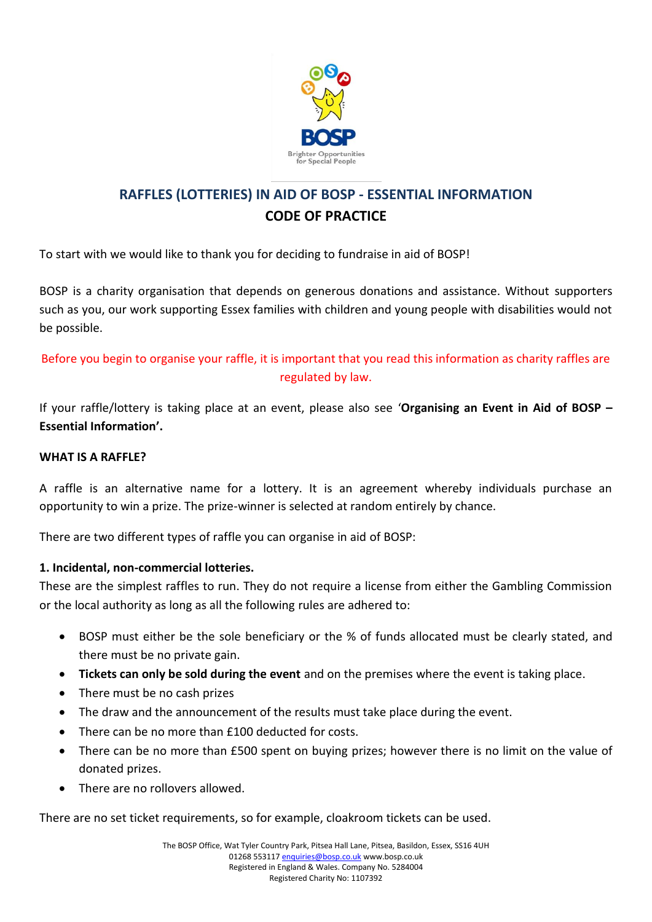

# **RAFFLES (LOTTERIES) IN AID OF BOSP - ESSENTIAL INFORMATION CODE OF PRACTICE**

To start with we would like to thank you for deciding to fundraise in aid of BOSP!

BOSP is a charity organisation that depends on generous donations and assistance. Without supporters such as you, our work supporting Essex families with children and young people with disabilities would not be possible.

# Before you begin to organise your raffle, it is important that you read this information as charity raffles are regulated by law.

If your raffle/lottery is taking place at an event, please also see '**Organising an Event in Aid of BOSP – Essential Information'.**

#### **WHAT IS A RAFFLE?**

A raffle is an alternative name for a lottery. It is an agreement whereby individuals purchase an opportunity to win a prize. The prize-winner is selected at random entirely by chance.

There are two different types of raffle you can organise in aid of BOSP:

#### **1. Incidental, non-commercial lotteries.**

These are the simplest raffles to run. They do not require a license from either the Gambling Commission or the local authority as long as all the following rules are adhered to:

- BOSP must either be the sole beneficiary or the % of funds allocated must be clearly stated, and there must be no private gain.
- **Tickets can only be sold during the event** and on the premises where the event is taking place.
- There must be no cash prizes
- The draw and the announcement of the results must take place during the event.
- There can be no more than £100 deducted for costs.
- There can be no more than £500 spent on buying prizes; however there is no limit on the value of donated prizes.
- There are no rollovers allowed.

There are no set ticket requirements, so for example, cloakroom tickets can be used.